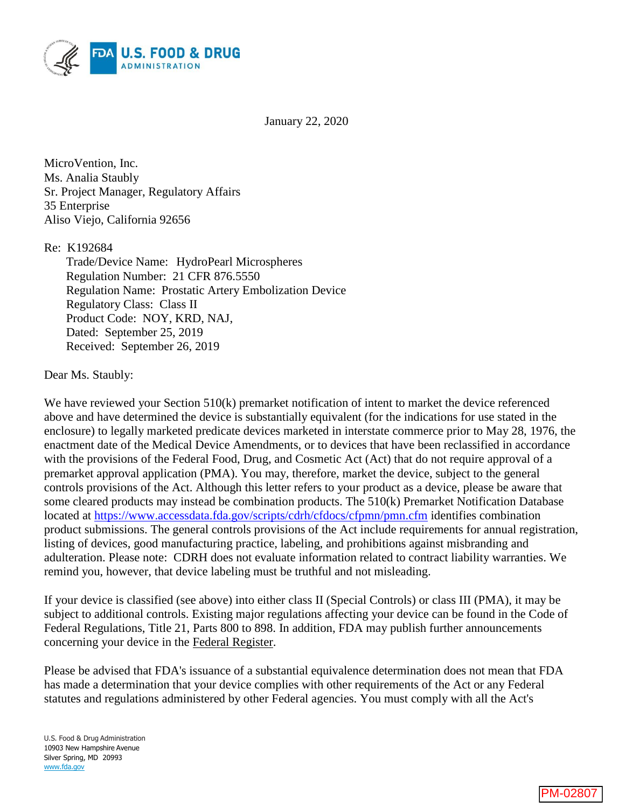

January 22, 2020

MicroVention, Inc. Ms. Analia Staubly Sr. Project Manager, Regulatory Affairs 35 Enterprise Aliso Viejo, California 92656

Re: K192684

Trade/Device Name: HydroPearl Microspheres Regulation Number: 21 CFR 876.5550 Regulation Name: Prostatic Artery Embolization Device Regulatory Class: Class II Product Code: NOY, KRD, NAJ, Dated: September 25, 2019 Received: September 26, 2019

Dear Ms. Staubly:

We have reviewed your Section 510(k) premarket notification of intent to market the device referenced above and have determined the device is substantially equivalent (for the indications for use stated in the enclosure) to legally marketed predicate devices marketed in interstate commerce prior to May 28, 1976, the enactment date of the Medical Device Amendments, or to devices that have been reclassified in accordance with the provisions of the Federal Food, Drug, and Cosmetic Act (Act) that do not require approval of a premarket approval application (PMA). You may, therefore, market the device, subject to the general controls provisions of the Act. Although this letter refers to your product as a device, please be aware that some cleared products may instead be combination products. The 510(k) Premarket Notification Database located at<https://www.accessdata.fda.gov/scripts/cdrh/cfdocs/cfpmn/pmn.cfm> identifies combination product submissions. The general controls provisions of the Act include requirements for annual registration, listing of devices, good manufacturing practice, labeling, and prohibitions against misbranding and adulteration. Please note: CDRH does not evaluate information related to contract liability warranties. We remind you, however, that device labeling must be truthful and not misleading.

If your device is classified (see above) into either class II (Special Controls) or class III (PMA), it may be subject to additional controls. Existing major regulations affecting your device can be found in the Code of Federal Regulations, Title 21, Parts 800 to 898. In addition, FDA may publish further announcements concerning your device in the Federal Register.

Please be advised that FDA's issuance of a substantial equivalence determination does not mean that FDA has made a determination that your device complies with other requirements of the Act or any Federal statutes and regulations administered by other Federal agencies. You must comply with all the Act's

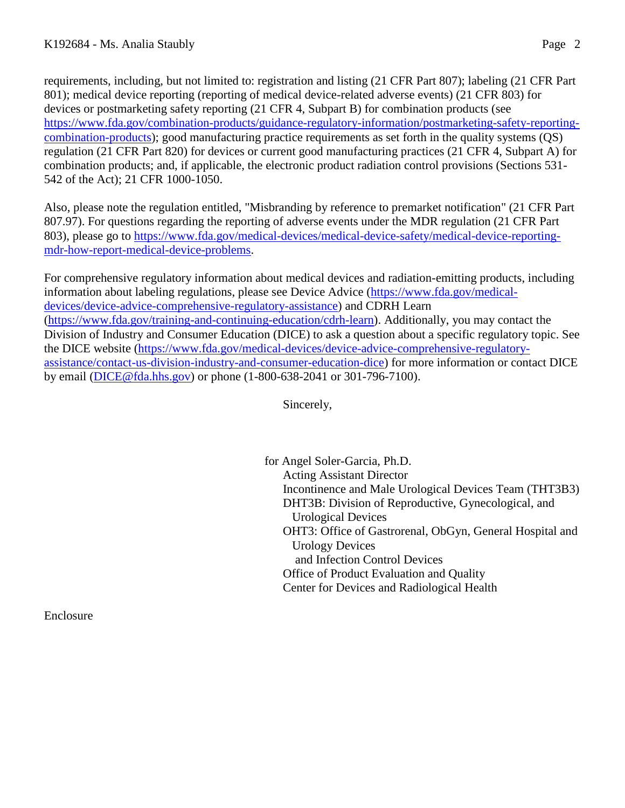requirements, including, but not limited to: registration and listing (21 CFR Part 807); labeling (21 CFR Part 801); medical device reporting (reporting of medical device-related adverse events) (21 CFR 803) for devices or postmarketing safety reporting (21 CFR 4, Subpart B) for combination products (see [https://www.fda.gov/combination-products/guidance-regulatory-information/postmarketing-safety-reporting](https://www.fda.gov/combination-products/guidance-regulatory-information/postmarketing-safety-reporting-combination-products)[combination-products\)](https://www.fda.gov/combination-products/guidance-regulatory-information/postmarketing-safety-reporting-combination-products); good manufacturing practice requirements as set forth in the quality systems (QS) regulation (21 CFR Part 820) for devices or current good manufacturing practices (21 CFR 4, Subpart A) for combination products; and, if applicable, the electronic product radiation control provisions (Sections 531- 542 of the Act); 21 CFR 1000-1050.

Also, please note the regulation entitled, "Misbranding by reference to premarket notification" (21 CFR Part 807.97). For questions regarding the reporting of adverse events under the MDR regulation (21 CFR Part 803), please go to [https://www.fda.gov/medical-devices/medical-device-safety/medical-device-reporting](https://www.fda.gov/medical-devices/medical-device-safety/medical-device-reporting-mdr-how-report-medical-device-problems)[mdr-how-report-medical-device-problems.](https://www.fda.gov/medical-devices/medical-device-safety/medical-device-reporting-mdr-how-report-medical-device-problems)

For comprehensive regulatory information about medical devices and radiation-emitting products, including information about labeling regulations, please see Device Advice [\(https://www.fda.gov/medical](https://www.fda.gov/medical-devices/device-advice-comprehensive-regulatory-assistance)[devices/device-advice-comprehensive-regulatory-assistance\)](https://www.fda.gov/medical-devices/device-advice-comprehensive-regulatory-assistance) and CDRH Learn [\(https://www.fda.gov/training-and-continuing-education/cdrh-learn\)](https://www.fda.gov/training-and-continuing-education/cdrh-learn). Additionally, you may contact the Division of Industry and Consumer Education (DICE) to ask a question about a specific regulatory topic. See the DICE website [\(https://www.fda.gov/medical-devices/device-advice-comprehensive-regulatory](https://www.fda.gov/medical-devices/device-advice-comprehensive-regulatory-assistance/contact-us-division-industry-and-consumer-education-dice)[assistance/contact-us-division-industry-and-consumer-education-dice\)](https://www.fda.gov/medical-devices/device-advice-comprehensive-regulatory-assistance/contact-us-division-industry-and-consumer-education-dice) for more information or contact DICE by email [\(DICE@fda.hhs.gov\)](mailto:%20DICE@fda.hhs.gov) or phone (1-800-638-2041 or 301-796-7100).

Sincerely,

for Angel Soler-Garcia, Ph.D. Acting Assistant Director Incontinence and Male Urological Devices Team (THT3B3) DHT3B: Division of Reproductive, Gynecological, and Urological Devices OHT3: Office of Gastrorenal, ObGyn, General Hospital and Urology Devices and Infection Control Devices Office of Product Evaluation and Quality Center for Devices and Radiological Health

Enclosure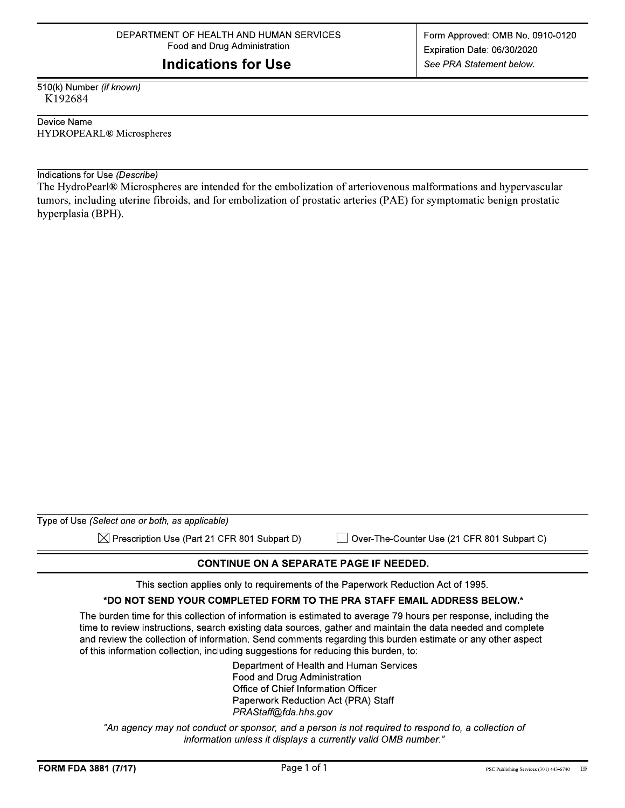## **Indications for Use**

510(k) Number (if known) K192684

Device Name **HYDROPEARL®** Microspheres

Indications for Use (Describe)

The HydroPearl® Microspheres are intended for the embolization of arteriovenous malformations and hypervascular tumors, including uterine fibroids, and for embolization of prostatic arteries (PAE) for symptomatic benign prostatic hyperplasia (BPH).

| Type of Use (Select one or both, as applicable)          |                                             |
|----------------------------------------------------------|---------------------------------------------|
| $\boxtimes$ Prescription Use (Part 21 CFR 801 Subpart D) | Over-The-Counter Use (21 CFR 801 Subpart C) |

## **CONTINUE ON A SEPARATE PAGE IF NEEDED.**

This section applies only to requirements of the Paperwork Reduction Act of 1995.

#### \*DO NOT SEND YOUR COMPLETED FORM TO THE PRA STAFF EMAIL ADDRESS BELOW.\*

The burden time for this collection of information is estimated to average 79 hours per response, including the time to review instructions, search existing data sources, gather and maintain the data needed and complete and review the collection of information. Send comments regarding this burden estimate or any other aspect of this information collection, including suggestions for reducing this burden, to:

> Department of Health and Human Services Food and Drug Administration Office of Chief Information Officer Paperwork Reduction Act (PRA) Staff PRAStaff@fda.hhs.gov

"An agency may not conduct or sponsor, and a person is not required to respond to, a collection of information unless it displays a currently valid OMB number."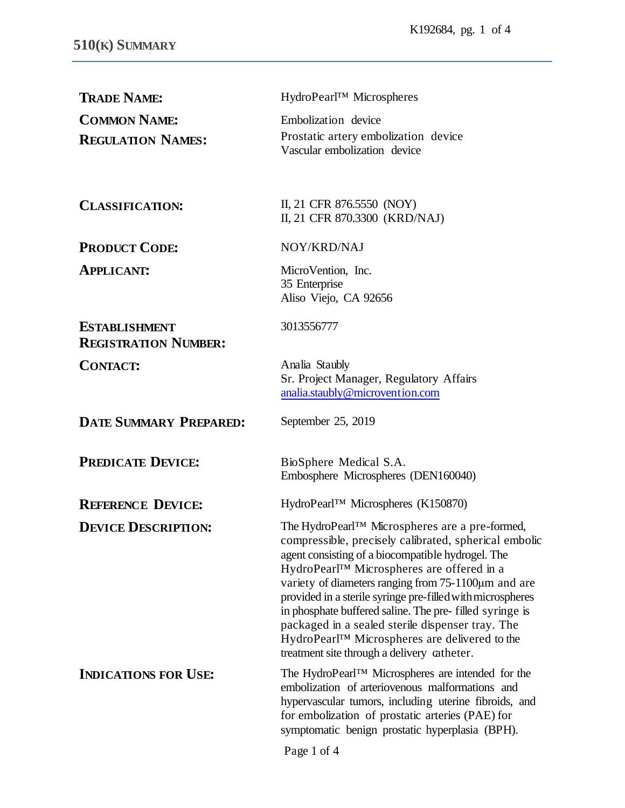| <b>TRADE NAME:</b>                                  | HydroPearl™ Microspheres                                                                                                                                                                                                                                                                                                                                                                                                                                                                                                                            |
|-----------------------------------------------------|-----------------------------------------------------------------------------------------------------------------------------------------------------------------------------------------------------------------------------------------------------------------------------------------------------------------------------------------------------------------------------------------------------------------------------------------------------------------------------------------------------------------------------------------------------|
| <b>COMMON NAME:</b>                                 | Embolization device                                                                                                                                                                                                                                                                                                                                                                                                                                                                                                                                 |
| <b>REGULATION NAMES:</b>                            | Prostatic artery embolization device<br>Vascular embolization device                                                                                                                                                                                                                                                                                                                                                                                                                                                                                |
| <b>CLASSIFICATION:</b>                              | II, 21 CFR 876.5550 (NOY)<br>II, 21 CFR 870.3300 (KRD/NAJ)                                                                                                                                                                                                                                                                                                                                                                                                                                                                                          |
| <b>PRODUCT CODE:</b>                                | NOY/KRD/NAJ                                                                                                                                                                                                                                                                                                                                                                                                                                                                                                                                         |
| <b>APPLICANT:</b>                                   | MicroVention, Inc.<br>35 Enterprise<br>Aliso Viejo, CA 92656                                                                                                                                                                                                                                                                                                                                                                                                                                                                                        |
| <b>ESTABLISHMENT</b><br><b>REGISTRATION NUMBER:</b> | 3013556777                                                                                                                                                                                                                                                                                                                                                                                                                                                                                                                                          |
| <b>CONTACT:</b>                                     | Analia Staubly<br>Sr. Project Manager, Regulatory Affairs<br>analia.staubly@microvention.com                                                                                                                                                                                                                                                                                                                                                                                                                                                        |
| <b>DATE SUMMARY PREPARED:</b>                       | September 25, 2019                                                                                                                                                                                                                                                                                                                                                                                                                                                                                                                                  |
| <b>PREDICATE DEVICE:</b>                            | BioSphere Medical S.A.<br>Embosphere Microspheres (DEN160040)                                                                                                                                                                                                                                                                                                                                                                                                                                                                                       |
| <b>REFERENCE DEVICE:</b>                            | HydroPearl™ Microspheres (K150870)                                                                                                                                                                                                                                                                                                                                                                                                                                                                                                                  |
| <b>DEVICE DESCRIPTION:</b>                          | The HydroPearl™ Microspheres are a pre-formed,<br>compressible, precisely calibrated, spherical embolic<br>agent consisting of a biocompatible hydrogel. The<br>HydroPearl™ Microspheres are offered in a<br>variety of diameters ranging from $75-1100 \mu m$ and are<br>provided in a sterile syringe pre-filled with microspheres<br>in phosphate buffered saline. The pre-filled syringe is<br>packaged in a sealed sterile dispenser tray. The<br>HydroPearl™ Microspheres are delivered to the<br>treatment site through a delivery catheter. |
| <b>INDICATIONS FOR USE:</b>                         | The HydroPearl <sup>TM</sup> Microspheres are intended for the<br>embolization of arteriovenous malformations and<br>hypervascular tumors, including uterine fibroids, and<br>for embolization of prostatic arteries (PAE) for<br>symptomatic benign prostatic hyperplasia (BPH).                                                                                                                                                                                                                                                                   |

Page 1 of 4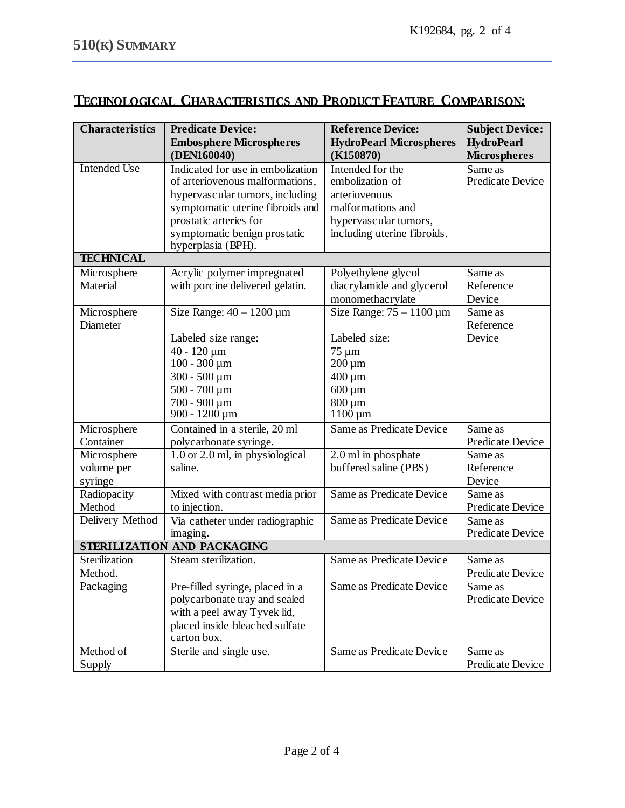# **TECHNOLOGICAL CHARACTERISTICS AND PRODUCT FEATURE COMPARISON:**

| <b>Characteristics</b>      | <b>Predicate Device:</b>            | <b>Reference Device:</b>        | <b>Subject Device:</b> |  |  |
|-----------------------------|-------------------------------------|---------------------------------|------------------------|--|--|
|                             | <b>Embosphere Microspheres</b>      | <b>HydroPearl Microspheres</b>  | <b>HydroPearl</b>      |  |  |
|                             | (DEN160040)                         | (K150870)                       | <b>Microspheres</b>    |  |  |
| Intended Use                | Indicated for use in embolization   | Intended for the                | Same as                |  |  |
|                             | of arteriovenous malformations,     | embolization of                 | Predicate Device       |  |  |
|                             | hypervascular tumors, including     | arteriovenous                   |                        |  |  |
|                             | symptomatic uterine fibroids and    | malformations and               |                        |  |  |
|                             | prostatic arteries for              | hypervascular tumors,           |                        |  |  |
|                             | symptomatic benign prostatic        | including uterine fibroids.     |                        |  |  |
|                             | hyperplasia (BPH).                  |                                 |                        |  |  |
| <b>TECHNICAL</b>            |                                     |                                 |                        |  |  |
| Microsphere                 | Acrylic polymer impregnated         | Polyethylene glycol             | Same as                |  |  |
| Material                    | with porcine delivered gelatin.     | diacrylamide and glycerol       | Reference              |  |  |
|                             |                                     | monomethacrylate                | Device                 |  |  |
| Microsphere                 | Size Range: $40 - 1200 \,\mu m$     | Size Range: $75 - 1100 \,\mu m$ | Same as                |  |  |
| Diameter                    |                                     |                                 | Reference              |  |  |
|                             | Labeled size range:                 | Labeled size:                   | Device                 |  |  |
|                             | $40 - 120 \,\mathrm{\upmu m}$       | 75 μm                           |                        |  |  |
|                             | $100 - 300 \,\mu m$                 | $200 \mu m$                     |                        |  |  |
|                             | $300 - 500 \,\mu m$                 | $400 \,\mathrm{\upmu m}$        |                        |  |  |
|                             | $500 - 700 \,\mu m$                 | $600 \,\mathrm{\upmu m}$        |                        |  |  |
|                             | 700 - 900 μm                        | 800 µm                          |                        |  |  |
|                             | $900 - 1200 \,\mu m$                | $1100 \mu m$                    |                        |  |  |
| Microsphere                 | Contained in a sterile, 20 ml       | Same as Predicate Device        | Same as                |  |  |
| Container                   | polycarbonate syringe.              |                                 | Predicate Device       |  |  |
| Microsphere                 | $1.0$ or $2.0$ ml, in physiological | 2.0 ml in phosphate             | Same as                |  |  |
| volume per                  | saline.                             | buffered saline (PBS)           | Reference              |  |  |
| syringe                     |                                     |                                 | Device                 |  |  |
| Radiopacity                 | Mixed with contrast media prior     | Same as Predicate Device        | Same as                |  |  |
| Method                      | to injection.                       |                                 | Predicate Device       |  |  |
| Delivery Method             | Via catheter under radiographic     | Same as Predicate Device        | Same as                |  |  |
|                             | imaging.                            |                                 | Predicate Device       |  |  |
| STERILIZATION AND PACKAGING |                                     |                                 |                        |  |  |
| Sterilization               | Steam sterilization.                | Same as Predicate Device        | Same as                |  |  |
| Method.                     |                                     |                                 | Predicate Device       |  |  |
| Packaging                   | Pre-filled syringe, placed in a     | Same as Predicate Device        | Same as                |  |  |
|                             | polycarbonate tray and sealed       |                                 | Predicate Device       |  |  |
|                             | with a peel away Tyvek lid,         |                                 |                        |  |  |
|                             | placed inside bleached sulfate      |                                 |                        |  |  |
|                             | carton box.                         |                                 |                        |  |  |
| Method of                   | Sterile and single use.             | Same as Predicate Device        | Same as                |  |  |
| Supply                      |                                     |                                 | Predicate Device       |  |  |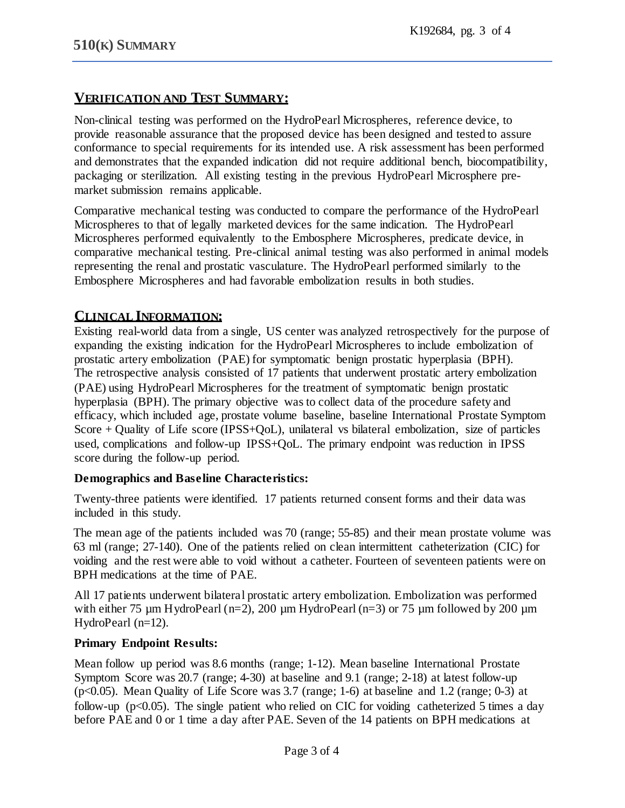## **VERIFICATION AND TEST SUMMARY:**

Non-clinical testing was performed on the HydroPearl Microspheres, reference device, to provide reasonable assurance that the proposed device has been designed and tested to assure conformance to special requirements for its intended use. A risk assessment has been performed and demonstrates that the expanded indication did not require additional bench, biocompatibility, packaging or sterilization. All existing testing in the previous HydroPearl Microsphere premarket submission remains applicable.

Comparative mechanical testing was conducted to compare the performance of the HydroPearl Microspheres to that of legally marketed devices for the same indication. The HydroPearl Microspheres performed equivalently to the Embosphere Microspheres, predicate device, in comparative mechanical testing. Pre-clinical animal testing was also performed in animal models representing the renal and prostatic vasculature. The HydroPearl performed similarly to the Embosphere Microspheres and had favorable embolization results in both studies.

## **CLINICAL INFORMATION:**

Existing real-world data from a single, US center was analyzed retrospectively for the purpose of expanding the existing indication for the HydroPearl Microspheres to include embolization of prostatic artery embolization (PAE) for symptomatic benign prostatic hyperplasia (BPH). The retrospective analysis consisted of 17 patients that underwent prostatic artery embolization (PAE) using HydroPearl Microspheres for the treatment of symptomatic benign prostatic hyperplasia (BPH). The primary objective was to collect data of the procedure safety and efficacy, which included age, prostate volume baseline, baseline International Prostate Symptom Score + Quality of Life score (IPSS+QoL), unilateral vs bilateral embolization, size of particles used, complications and follow-up IPSS+QoL. The primary endpoint was reduction in IPSS score during the follow-up period.

### **Demographics and Baseline Characteristics:**

Twenty-three patients were identified. 17 patients returned consent forms and their data was included in this study.

The mean age of the patients included was 70 (range; 55-85) and their mean prostate volume was 63 ml (range; 27-140). One of the patients relied on clean intermittent catheterization (CIC) for voiding and the rest were able to void without a catheter. Fourteen of seventeen patients were on BPH medications at the time of PAE.

All 17 patients underwent bilateral prostatic artery embolization. Embolization was performed with either 75  $\mu$ m HydroPearl (n=2), 200  $\mu$ m HydroPearl (n=3) or 75  $\mu$ m followed by 200  $\mu$ m HydroPearl (n=12).

### **Primary Endpoint Results:**

Mean follow up period was 8.6 months (range; 1-12). Mean baseline International Prostate Symptom Score was 20.7 (range; 4-30) at baseline and 9.1 (range; 2-18) at latest follow-up (p<0.05). Mean Quality of Life Score was 3.7 (range; 1-6) at baseline and 1.2 (range; 0-3) at follow-up ( $p<0.05$ ). The single patient who relied on CIC for voiding catheterized 5 times a day before PAE and 0 or 1 time a day after PAE. Seven of the 14 patients on BPH medications at